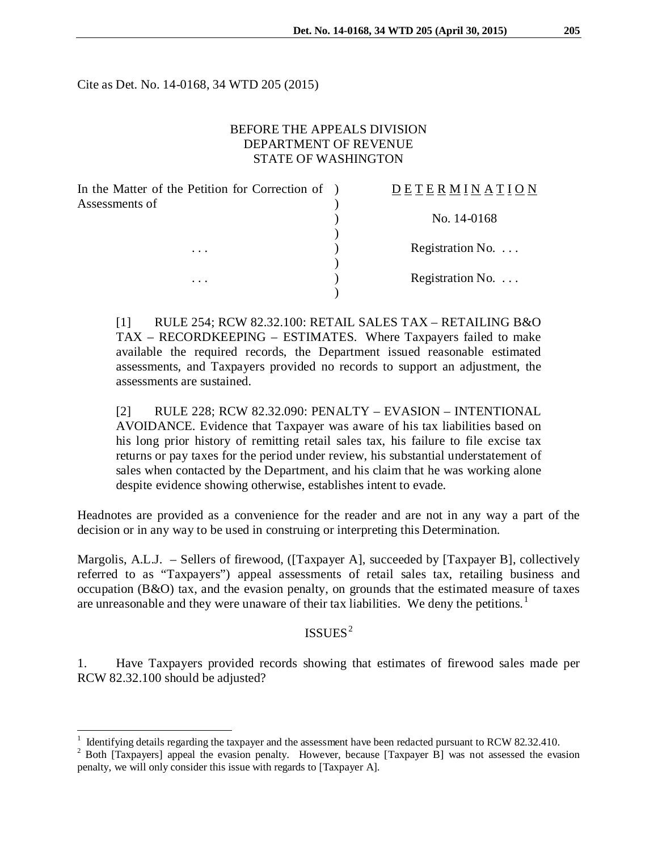Cite as Det. No. 14-0168, 34 WTD 205 (2015)

# BEFORE THE APPEALS DIVISION DEPARTMENT OF REVENUE STATE OF WASHINGTON

| In the Matter of the Petition for Correction of ) | DETERMINATION            |
|---------------------------------------------------|--------------------------|
| Assessments of                                    |                          |
|                                                   | No. 14-0168              |
|                                                   |                          |
| .<br>.                                            | Registration No. $\dots$ |
|                                                   |                          |
|                                                   | Registration No. $\dots$ |
|                                                   |                          |

[1] RULE 254; RCW 82.32.100: RETAIL SALES TAX – RETAILING B&O TAX – RECORDKEEPING – ESTIMATES. Where Taxpayers failed to make available the required records, the Department issued reasonable estimated assessments, and Taxpayers provided no records to support an adjustment, the assessments are sustained.

[2] RULE 228; RCW 82.32.090: PENALTY – EVASION – INTENTIONAL AVOIDANCE. Evidence that Taxpayer was aware of his tax liabilities based on his long prior history of remitting retail sales tax, his failure to file excise tax returns or pay taxes for the period under review, his substantial understatement of sales when contacted by the Department, and his claim that he was working alone despite evidence showing otherwise, establishes intent to evade.

Headnotes are provided as a convenience for the reader and are not in any way a part of the decision or in any way to be used in construing or interpreting this Determination.

Margolis, A.L.J. – Sellers of firewood, ([Taxpayer A], succeeded by [Taxpayer B], collectively referred to as "Taxpayers") appeal assessments of retail sales tax, retailing business and occupation (B&O) tax, and the evasion penalty, on grounds that the estimated measure of taxes are unreasonable and they were unaware of their tax liabilities. We deny the petitions.<sup>[1](#page-0-0)</sup>

# $ISSUES<sup>2</sup>$  $ISSUES<sup>2</sup>$  $ISSUES<sup>2</sup>$

1. Have Taxpayers provided records showing that estimates of firewood sales made per RCW 82.32.100 should be adjusted?

 $\overline{a}$ 

<span id="page-0-1"></span><span id="page-0-0"></span><sup>&</sup>lt;sup>1</sup> Identifying details regarding the taxpayer and the assessment have been redacted pursuant to RCW 82.32.410.<br><sup>2</sup> Both [Taxpayers] appeal the evasion penalty. However, because [Taxpayer B] was not assessed the evasion penalty, we will only consider this issue with regards to [Taxpayer A].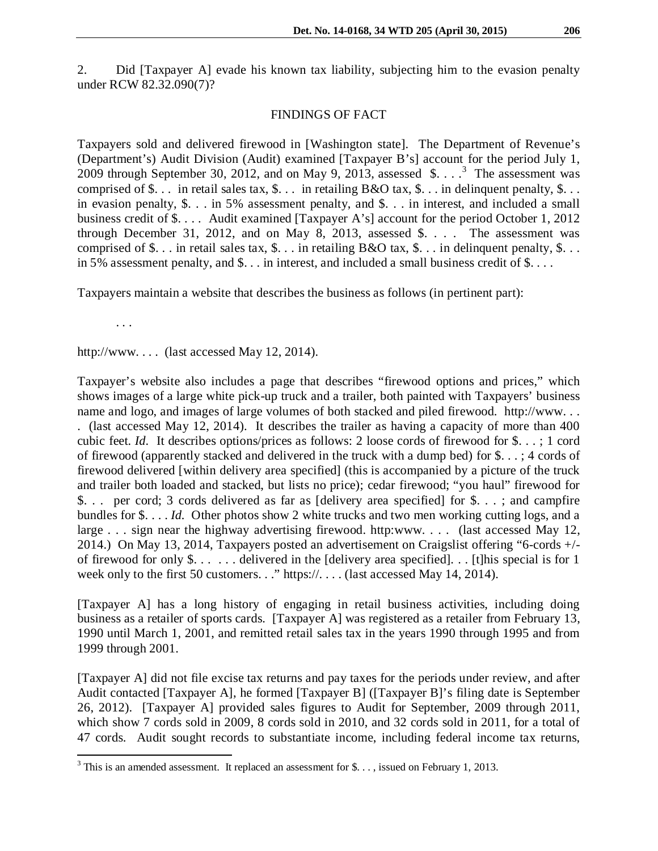2. Did [Taxpayer A] evade his known tax liability, subjecting him to the evasion penalty under RCW 82.32.090(7)?

## FINDINGS OF FACT

Taxpayers sold and delivered firewood in [Washington state]. The Department of Revenue's (Department's) Audit Division (Audit) examined [Taxpayer B's] account for the period July 1, 2009 through September [3](#page-1-0)0, 2012, and on May 9, 2013, assessed  $\delta$ . . . .<sup>3</sup> The assessment was comprised of  $\$\dots\]$  in retail sales tax,  $\$\dots\]$  in retailing B&O tax,  $\$\dots\]$  in delinquent penalty,  $\$\dots\]$ in evasion penalty, \$. . . in 5% assessment penalty, and \$. . . in interest, and included a small business credit of \$. . . . Audit examined [Taxpayer A's] account for the period October 1, 2012 through December 31, 2012, and on May 8, 2013, assessed  $\$ . . . . The assessment was comprised of \$. . . in retail sales tax, \$. . . in retailing B&O tax, \$. . . in delinquent penalty, \$. . . in 5% assessment penalty, and  $\$ ... in interest, and included a small business credit of  $\$ ...

Taxpayers maintain a website that describes the business as follows (in pertinent part):

. . .

http://www.... (last accessed May 12, 2014).

Taxpayer's website also includes a page that describes "firewood options and prices," which shows images of a large white pick-up truck and a trailer, both painted with Taxpayers' business name and logo, and images of large volumes of both stacked and piled firewood. http://www. . . . (last accessed May 12, 2014). It describes the trailer as having a capacity of more than 400 cubic feet. *Id.* It describes options/prices as follows: 2 loose cords of firewood for \$. . . ; 1 cord of firewood (apparently stacked and delivered in the truck with a dump bed) for \$. . . ; 4 cords of firewood delivered [within delivery area specified] (this is accompanied by a picture of the truck and trailer both loaded and stacked, but lists no price); cedar firewood; "you haul" firewood for \$. . . per cord; 3 cords delivered as far as [delivery area specified] for \$. . . ; and campfire bundles for \$. . . . *Id.* Other photos show 2 white trucks and two men working cutting logs, and a large . . . sign near the highway advertising firewood. http:www. . . . (last accessed May 12, 2014.) On May 13, 2014, Taxpayers posted an advertisement on Craigslist offering "6-cords +/ of firewood for only \$. . . . . . delivered in the [delivery area specified]. . . [t]his special is for 1 week only to the first 50 customers. . ." https://. . . . (last accessed May 14, 2014).

[Taxpayer A] has a long history of engaging in retail business activities, including doing business as a retailer of sports cards. [Taxpayer A] was registered as a retailer from February 13, 1990 until March 1, 2001, and remitted retail sales tax in the years 1990 through 1995 and from 1999 through 2001.

[Taxpayer A] did not file excise tax returns and pay taxes for the periods under review, and after Audit contacted [Taxpayer A], he formed [Taxpayer B] ([Taxpayer B]'s filing date is September 26, 2012). [Taxpayer A] provided sales figures to Audit for September, 2009 through 2011, which show 7 cords sold in 2009, 8 cords sold in 2010, and 32 cords sold in 2011, for a total of 47 cords. Audit sought records to substantiate income, including federal income tax returns,

<span id="page-1-0"></span> $3$  This is an amended assessment. It replaced an assessment for \$..., issued on February 1, 2013.  $\overline{\phantom{a}}$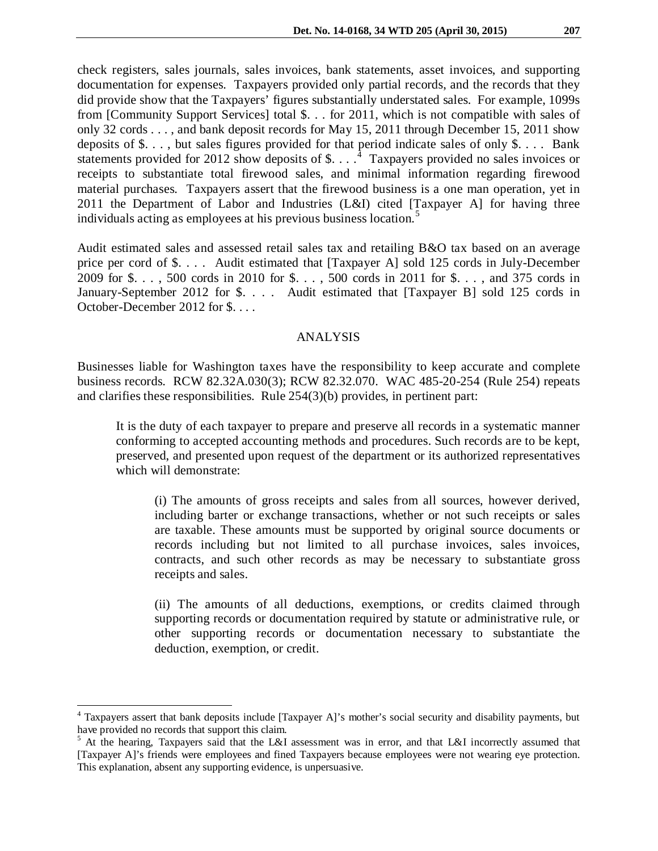check registers, sales journals, sales invoices, bank statements, asset invoices, and supporting documentation for expenses. Taxpayers provided only partial records, and the records that they did provide show that the Taxpayers' figures substantially understated sales. For example, 1099s from [Community Support Services] total \$. . . for 2011, which is not compatible with sales of only 32 cords . . . , and bank deposit records for May 15, 2011 through December 15, 2011 show deposits of \$. . . , but sales figures provided for that period indicate sales of only \$. . . . Bank statements provided for 2012 show deposits of \$...  $\cdot$ <sup>[4](#page-2-0)</sup> Taxpayers provided no sales invoices or receipts to substantiate total firewood sales, and minimal information regarding firewood material purchases. Taxpayers assert that the firewood business is a one man operation, yet in 2011 the Department of Labor and Industries (L&I) cited [Taxpayer A] for having three individuals acting as employees at his previous business location.<sup>[5](#page-2-1)</sup>

Audit estimated sales and assessed retail sales tax and retailing B&O tax based on an average price per cord of \$. . . . Audit estimated that [Taxpayer A] sold 125 cords in July-December 2009 for \$. . . , 500 cords in 2010 for \$. . . , 500 cords in 2011 for \$. . . , and 375 cords in January-September 2012 for \$. . . . Audit estimated that [Taxpayer B] sold 125 cords in October-December 2012 for \$. . . .

### ANALYSIS

Businesses liable for Washington taxes have the responsibility to keep accurate and complete business records. RCW 82.32A.030(3); RCW 82.32.070. WAC 485-20-254 (Rule 254) repeats and clarifies these responsibilities. Rule 254(3)(b) provides, in pertinent part:

It is the duty of each taxpayer to prepare and preserve all records in a systematic manner conforming to accepted accounting methods and procedures. Such records are to be kept, preserved, and presented upon request of the department or its authorized representatives which will demonstrate:

(i) The amounts of gross receipts and sales from all sources, however derived, including barter or exchange transactions, whether or not such receipts or sales are taxable. These amounts must be supported by original source documents or records including but not limited to all purchase invoices, sales invoices, contracts, and such other records as may be necessary to substantiate gross receipts and sales.

(ii) The amounts of all deductions, exemptions, or credits claimed through supporting records or documentation required by statute or administrative rule, or other supporting records or documentation necessary to substantiate the deduction, exemption, or credit.

 $\overline{a}$ 

<span id="page-2-0"></span><sup>&</sup>lt;sup>4</sup> Taxpayers assert that bank deposits include [Taxpayer A]'s mother's social security and disability payments, but have provided no records that support this claim.

<span id="page-2-1"></span><sup>&</sup>lt;sup>5</sup> At the hearing, Taxpayers said that the L&I assessment was in error, and that L&I incorrectly assumed that [Taxpayer A]'s friends were employees and fined Taxpayers because employees were not wearing eye protection. This explanation, absent any supporting evidence, is unpersuasive.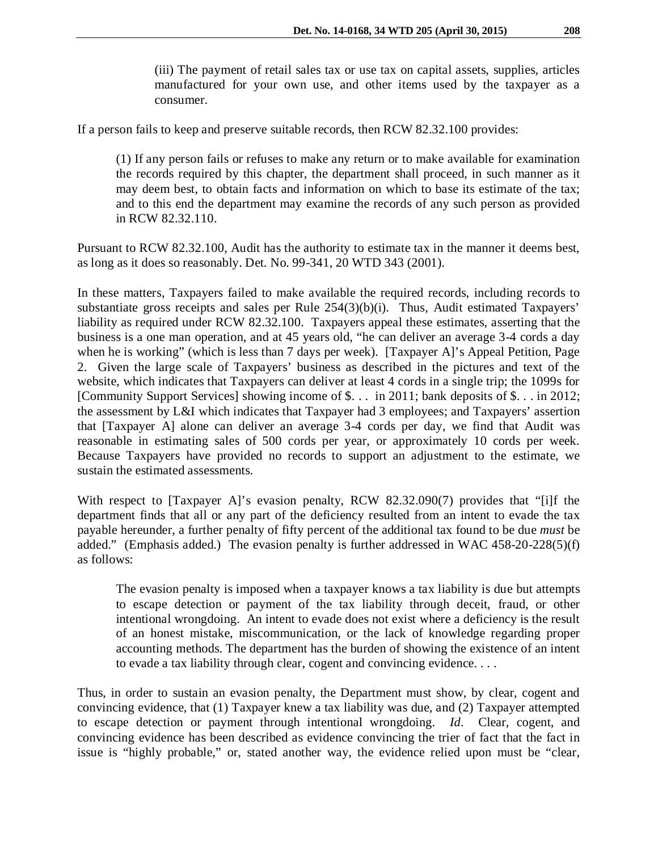(iii) The payment of retail sales tax or use tax on capital assets, supplies, articles manufactured for your own use, and other items used by the taxpayer as a consumer.

If a person fails to keep and preserve suitable records, then RCW 82.32.100 provides:

(1) If any person fails or refuses to make any return or to make available for examination the records required by this chapter, the department shall proceed, in such manner as it may deem best, to obtain facts and information on which to base its estimate of the tax; and to this end the department may examine the records of any such person as provided in RCW 82.32.110.

Pursuant to RCW 82.32.100, Audit has the authority to estimate tax in the manner it deems best, as long as it does so reasonably. Det. No. 99-341, 20 WTD 343 (2001).

In these matters, Taxpayers failed to make available the required records, including records to substantiate gross receipts and sales per Rule 254(3)(b)(i). Thus, Audit estimated Taxpayers' liability as required under RCW 82.32.100. Taxpayers appeal these estimates, asserting that the business is a one man operation, and at 45 years old, "he can deliver an average 3-4 cords a day when he is working" (which is less than 7 days per week). [Taxpayer A]'s Appeal Petition, Page 2. Given the large scale of Taxpayers' business as described in the pictures and text of the website, which indicates that Taxpayers can deliver at least 4 cords in a single trip; the 1099s for [Community Support Services] showing income of \$. . . in 2011; bank deposits of \$. . . in 2012; the assessment by L&I which indicates that Taxpayer had 3 employees; and Taxpayers' assertion that [Taxpayer A] alone can deliver an average 3-4 cords per day, we find that Audit was reasonable in estimating sales of 500 cords per year, or approximately 10 cords per week. Because Taxpayers have provided no records to support an adjustment to the estimate, we sustain the estimated assessments.

With respect to [Taxpayer A]'s evasion penalty, RCW 82.32.090(7) provides that "[i]f the department finds that all or any part of the deficiency resulted from an intent to evade the tax payable hereunder, a further penalty of fifty percent of the additional tax found to be due *must* be added." (Emphasis added.) The evasion penalty is further addressed in WAC 458-20-228(5)(f) as follows:

The evasion penalty is imposed when a taxpayer knows a tax liability is due but attempts to escape detection or payment of the tax liability through deceit, fraud, or other intentional wrongdoing. An intent to evade does not exist where a deficiency is the result of an honest mistake, miscommunication, or the lack of knowledge regarding proper accounting methods. The department has the burden of showing the existence of an intent to evade a tax liability through clear, cogent and convincing evidence. . . .

Thus, in order to sustain an evasion penalty, the Department must show, by clear, cogent and convincing evidence, that (1) Taxpayer knew a tax liability was due, and (2) Taxpayer attempted to escape detection or payment through intentional wrongdoing. *Id*. Clear, cogent, and convincing evidence has been described as evidence convincing the trier of fact that the fact in issue is "highly probable," or, stated another way, the evidence relied upon must be "clear,